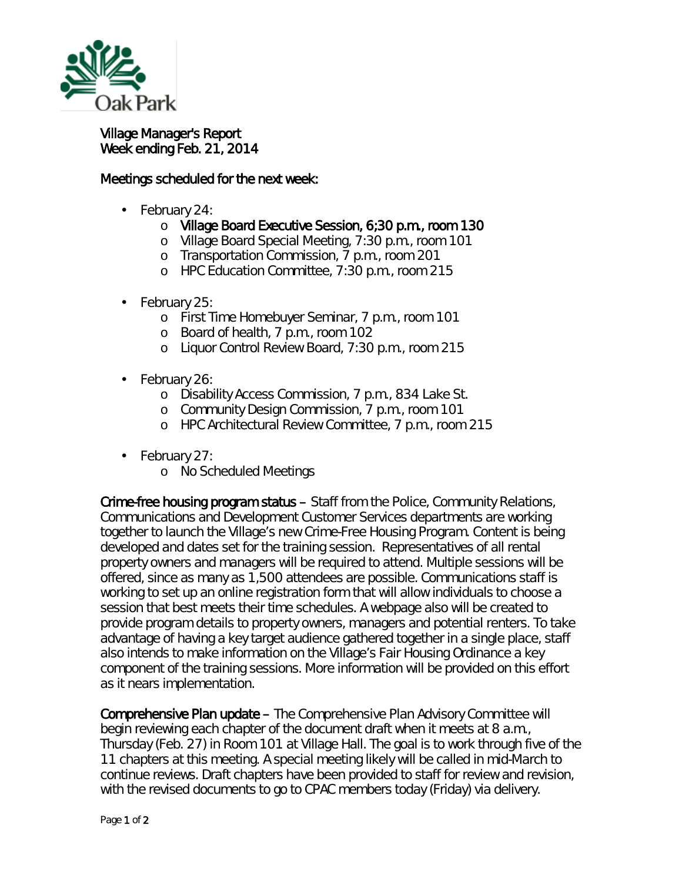

Village Manager's Report Week ending Feb. 21, 2014

## Meetings scheduled for the next week:

- February 24:
	- o Village Board Executive Session, 6;30 p.m., room 130
	- o Village Board Special Meeting, 7:30 p.m., room 101
	- o Transportation Commission, 7 p.m., room 201
	- o HPC Education Committee, 7:30 p.m., room 215
- February 25: ä,
	- o First Time Homebuyer Seminar, 7 p.m., room 101
	- o Board of health, 7 p.m., room 102
	- o Liquor Control Review Board, 7:30 p.m., room 215
- February 26:
	- o Disability Access Commission, 7 p.m., 834 Lake St.
	- o Community Design Commission, 7 p.m., room 101
	- o HPC Architectural Review Committee, 7 p.m., room 215
- February 27: ä,
	- o No Scheduled Meetings

Crime-free housing program status – Staff from the Police, Community Relations, Communications and Development Customer Services departments are working together to launch the Village's new Crime-Free Housing Program. Content is being developed and dates set for the training session. Representatives of all rental property owners and managers will be required to attend. Multiple sessions will be offered, since as many as 1,500 attendees are possible. Communications staff is working to set up an online registration form that will allow individuals to choose a session that best meets their time schedules. A webpage also will be created to provide program details to property owners, managers and potential renters. To take advantage of having a key target audience gathered together in a single place, staff also intends to make information on the Village's Fair Housing Ordinance a key component of the training sessions. More information will be provided on this effort as it nears implementation.

Comprehensive Plan update – The Comprehensive Plan Advisory Committee will begin reviewing each chapter of the document draft when it meets at 8 a.m., Thursday (Feb. 27) in Room 101 at Village Hall. The goal is to work through five of the 11 chapters at this meeting. A special meeting likely will be called in mid-March to continue reviews. Draft chapters have been provided to staff for review and revision, with the revised documents to go to CPAC members today (Friday) via delivery.